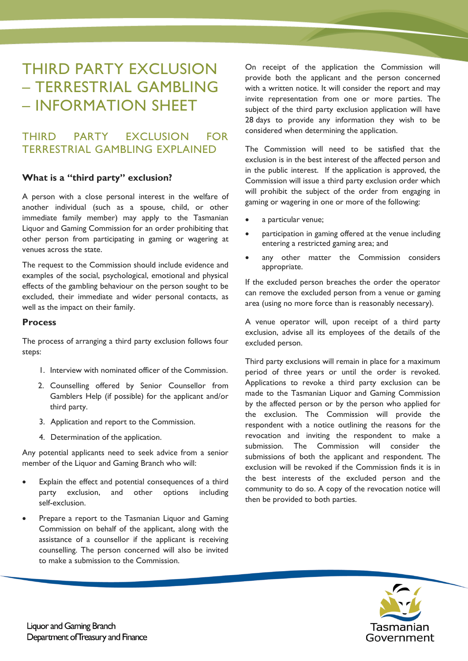# THIRD PARTY EXCLUSION – TERRESTRIAL GAMBLING – INFORMATION SHEET

# THIRD PARTY EXCLUSION FOR TERRESTRIAL GAMBLING EXPLAINED

## **What is a "third party" exclusion?**

A person with a close personal interest in the welfare of another individual (such as a spouse, child, or other immediate family member) may apply to the Tasmanian Liquor and Gaming Commission for an order prohibiting that other person from participating in gaming or wagering at venues across the state.

The request to the Commission should include evidence and examples of the social, psychological, emotional and physical effects of the gambling behaviour on the person sought to be excluded, their immediate and wider personal contacts, as well as the impact on their family.

### **Process**

The process of arranging a third party exclusion follows four steps:

- 1. Interview with nominated officer of the Commission.
- 2. Counselling offered by Senior Counsellor from Gamblers Help (if possible) for the applicant and/or third party.
- 3. Application and report to the Commission.
- 4. Determination of the application.

Any potential applicants need to seek advice from a senior member of the Liquor and Gaming Branch who will:

- Explain the effect and potential consequences of a third party exclusion, and other options including self-exclusion.
- Prepare a report to the Tasmanian Liquor and Gaming Commission on behalf of the applicant, along with the assistance of a counsellor if the applicant is receiving counselling. The person concerned will also be invited to make a submission to the Commission.

On receipt of the application the Commission will provide both the applicant and the person concerned with a written notice. It will consider the report and may invite representation from one or more parties. The subject of the third party exclusion application will have 28 days to provide any information they wish to be considered when determining the application.

The Commission will need to be satisfied that the exclusion is in the best interest of the affected person and in the public interest. If the application is approved, the Commission will issue a third party exclusion order which will prohibit the subject of the order from engaging in gaming or wagering in one or more of the following:

- a particular venue;
- participation in gaming offered at the venue including entering a restricted gaming area; and
- any other matter the Commission considers appropriate.

If the excluded person breaches the order the operator can remove the excluded person from a venue or gaming area (using no more force than is reasonably necessary).

A venue operator will, upon receipt of a third party exclusion, advise all its employees of the details of the excluded person.

Third party exclusions will remain in place for a maximum period of three years or until the order is revoked. Applications to revoke a third party exclusion can be made to the Tasmanian Liquor and Gaming Commission by the affected person or by the person who applied for the exclusion. The Commission will provide the respondent with a notice outlining the reasons for the revocation and inviting the respondent to make a submission. The Commission will consider the submissions of both the applicant and respondent. The exclusion will be revoked if the Commission finds it is in the best interests of the excluded person and the community to do so. A copy of the revocation notice will then be provided to both parties.

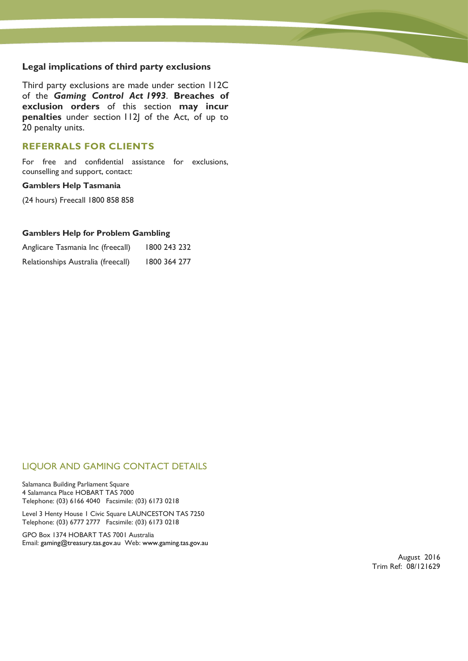### **Legal implications of third party exclusions**

Third party exclusions are made under section 112C of the *Gaming Control Act 1993*. **Breaches of exclusion orders** of this section **may incur penalties** under section 112J of the Act, of up to 20 penalty units.

### **REFERRALS FOR CLIENTS**

For free and confidential assistance for exclusions, counselling and support, contact:

#### **Gamblers Help Tasmania**

(24 hours) Freecall 1800 858 858

#### **Gamblers Help for Problem Gambling**

| Anglicare Tasmania Inc (freecall)  | 1800 243 232 |
|------------------------------------|--------------|
| Relationships Australia (freecall) | 1800 364 277 |

### LIQUOR AND GAMING CONTACT DETAILS

Salamanca Building Parliament Square 4 Salamanca Place HOBART TAS 7000 Telephone: (03) 6166 4040 Facsimile: (03) 6173 0218

Level 3 Henty House 1 Civic Square LAUNCESTON TAS 7250 Telephone: (03) 6777 2777 Facsimile: (03) 6173 0218

GPO Box 1374 HOBART TAS 7001 Australia Email: [gaming@treasury.tas.gov.au](mailto:gaming@treasury.tas.gov.au) Web: [www.gaming.tas.gov.au](http://www.gaming.tas.gov.au/)

> August 2016 Trim Ref: 08/121629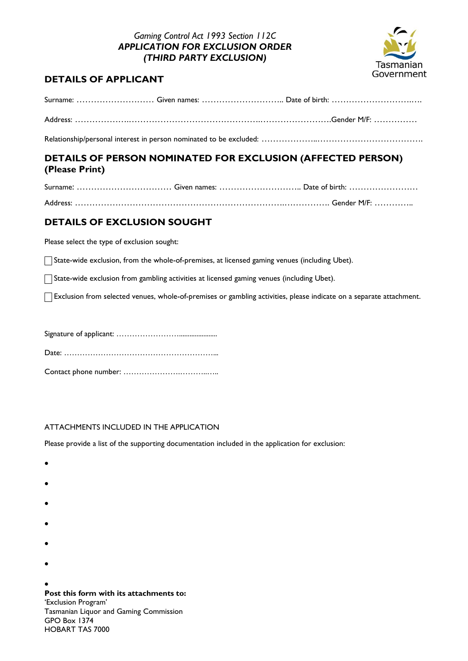## *Gaming Control Act 1993 Section 112C APPLICATION FOR EXCLUSION ORDER (THIRD PARTY EXCLUSION)*



# **DETAILS OF APPLICANT**

Relationship/personal interest in person nominated to be excluded: ……………………………………………………

# **DETAILS OF PERSON NOMINATED FOR EXCLUSION (AFFECTED PERSON) (Please Print)**

# **DETAILS OF EXCLUSION SOUGHT**

Please select the type of exclusion sought:

State-wide exclusion, from the whole-of-premises, at licensed gaming venues (including Ubet).

State-wide exclusion from gambling activities at licensed gaming venues (including Ubet).

Exclusion from selected venues, whole-of-premises or gambling activities, please indicate on a separate attachment.

Signature of applicant: ……………………...................... Date: …………………………………………………... Contact phone number: ………………….………..…..

### ATTACHMENTS INCLUDED IN THE APPLICATION

Please provide a list of the supporting documentation included in the application for exclusion:

- $\bullet$
- $\bullet$
- 
- $\bullet$
- $\bullet$
- 
- $\bullet$
- $\bullet$

 $\bullet$ 

**Post this form with its attachments to:** 'Exclusion Program' Tasmanian Liquor and Gaming Commission GPO Box 1374 HOBART TAS 7000